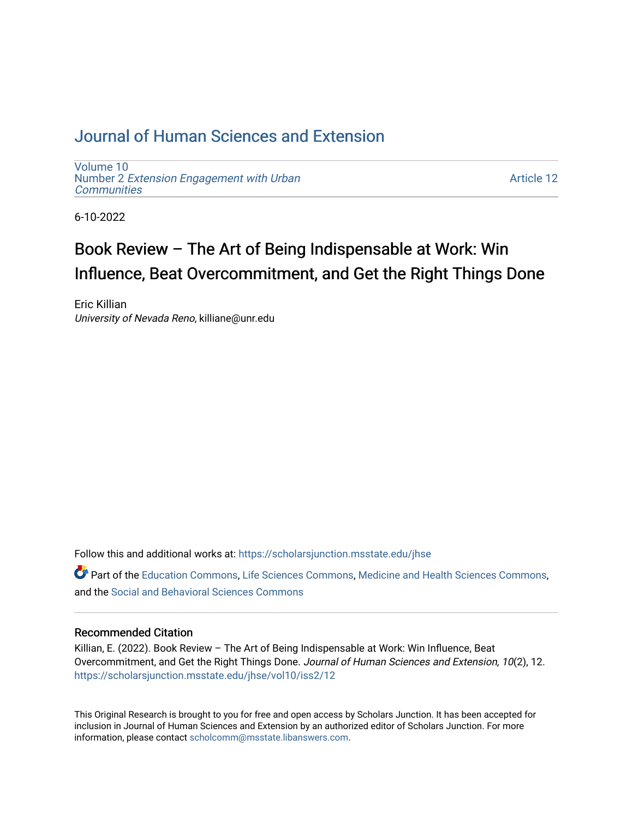## [Journal of Human Sciences and Extension](https://scholarsjunction.msstate.edu/jhse)

[Volume 10](https://scholarsjunction.msstate.edu/jhse/vol10) Number 2 [Extension Engagement with Urban](https://scholarsjunction.msstate.edu/jhse/vol10/iss2) **[Communities](https://scholarsjunction.msstate.edu/jhse/vol10/iss2)** 

[Article 12](https://scholarsjunction.msstate.edu/jhse/vol10/iss2/12) 

6-10-2022

# Book Review – The Art of Being Indispensable at Work: Win Influence, Beat Overcommitment, and Get the Right Things Done

Eric Killian University of Nevada Reno, killiane@unr.edu

Follow this and additional works at: [https://scholarsjunction.msstate.edu/jhse](https://scholarsjunction.msstate.edu/jhse?utm_source=scholarsjunction.msstate.edu%2Fjhse%2Fvol10%2Fiss2%2F12&utm_medium=PDF&utm_campaign=PDFCoverPages)

Part of the [Education Commons](https://network.bepress.com/hgg/discipline/784?utm_source=scholarsjunction.msstate.edu%2Fjhse%2Fvol10%2Fiss2%2F12&utm_medium=PDF&utm_campaign=PDFCoverPages), [Life Sciences Commons](https://network.bepress.com/hgg/discipline/1016?utm_source=scholarsjunction.msstate.edu%2Fjhse%2Fvol10%2Fiss2%2F12&utm_medium=PDF&utm_campaign=PDFCoverPages), [Medicine and Health Sciences Commons](https://network.bepress.com/hgg/discipline/648?utm_source=scholarsjunction.msstate.edu%2Fjhse%2Fvol10%2Fiss2%2F12&utm_medium=PDF&utm_campaign=PDFCoverPages), and the [Social and Behavioral Sciences Commons](https://network.bepress.com/hgg/discipline/316?utm_source=scholarsjunction.msstate.edu%2Fjhse%2Fvol10%2Fiss2%2F12&utm_medium=PDF&utm_campaign=PDFCoverPages) 

#### Recommended Citation

Killian, E. (2022). Book Review – The Art of Being Indispensable at Work: Win Influence, Beat Overcommitment, and Get the Right Things Done. Journal of Human Sciences and Extension, 10(2), 12. [https://scholarsjunction.msstate.edu/jhse/vol10/iss2/12](https://scholarsjunction.msstate.edu/jhse/vol10/iss2/12?utm_source=scholarsjunction.msstate.edu%2Fjhse%2Fvol10%2Fiss2%2F12&utm_medium=PDF&utm_campaign=PDFCoverPages) 

This Original Research is brought to you for free and open access by Scholars Junction. It has been accepted for inclusion in Journal of Human Sciences and Extension by an authorized editor of Scholars Junction. For more information, please contact [scholcomm@msstate.libanswers.com](mailto:scholcomm@msstate.libanswers.com).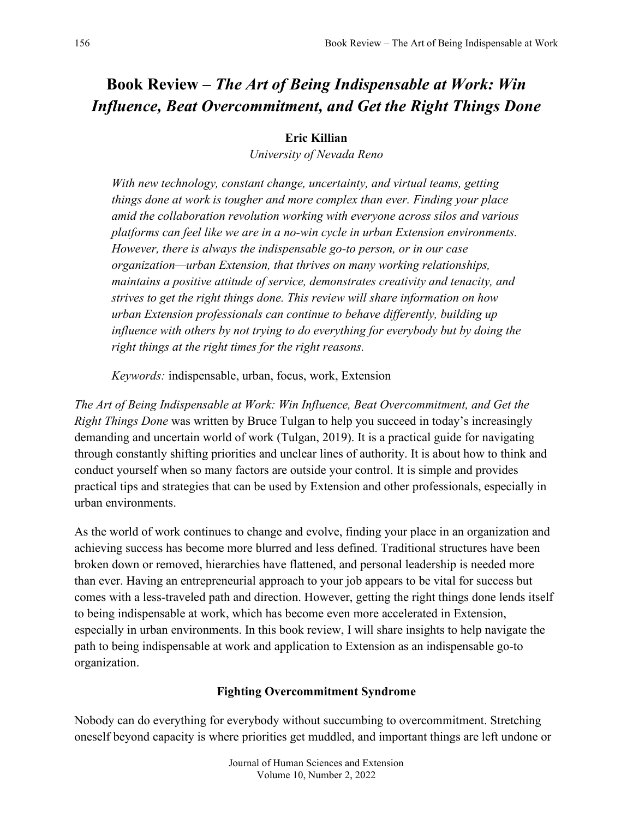## **Book Review –** *The Art of Being Indispensable at Work: Win Influence, Beat Overcommitment, and Get the Right Things Done*

## **Eric Killian**

*University of Nevada Reno*

*With new technology, constant change, uncertainty, and virtual teams, getting things done at work is tougher and more complex than ever. Finding your place amid the collaboration revolution working with everyone across silos and various platforms can feel like we are in a no-win cycle in urban Extension environments. However, there is always the indispensable go-to person, or in our case organization—urban Extension, that thrives on many working relationships, maintains a positive attitude of service, demonstrates creativity and tenacity, and strives to get the right things done. This review will share information on how urban Extension professionals can continue to behave differently, building up influence with others by not trying to do everything for everybody but by doing the right things at the right times for the right reasons.* 

*Keywords:* indispensable, urban, focus, work, Extension

*The Art of Being Indispensable at Work: Win Influence, Beat Overcommitment, and Get the Right Things Done* was written by Bruce Tulgan to help you succeed in today's increasingly demanding and uncertain world of work (Tulgan, 2019). It is a practical guide for navigating through constantly shifting priorities and unclear lines of authority. It is about how to think and conduct yourself when so many factors are outside your control. It is simple and provides practical tips and strategies that can be used by Extension and other professionals, especially in urban environments.

As the world of work continues to change and evolve, finding your place in an organization and achieving success has become more blurred and less defined. Traditional structures have been broken down or removed, hierarchies have flattened, and personal leadership is needed more than ever. Having an entrepreneurial approach to your job appears to be vital for success but comes with a less-traveled path and direction. However, getting the right things done lends itself to being indispensable at work, which has become even more accelerated in Extension, especially in urban environments. In this book review, I will share insights to help navigate the path to being indispensable at work and application to Extension as an indispensable go-to organization.

## **Fighting Overcommitment Syndrome**

Nobody can do everything for everybody without succumbing to overcommitment. Stretching oneself beyond capacity is where priorities get muddled, and important things are left undone or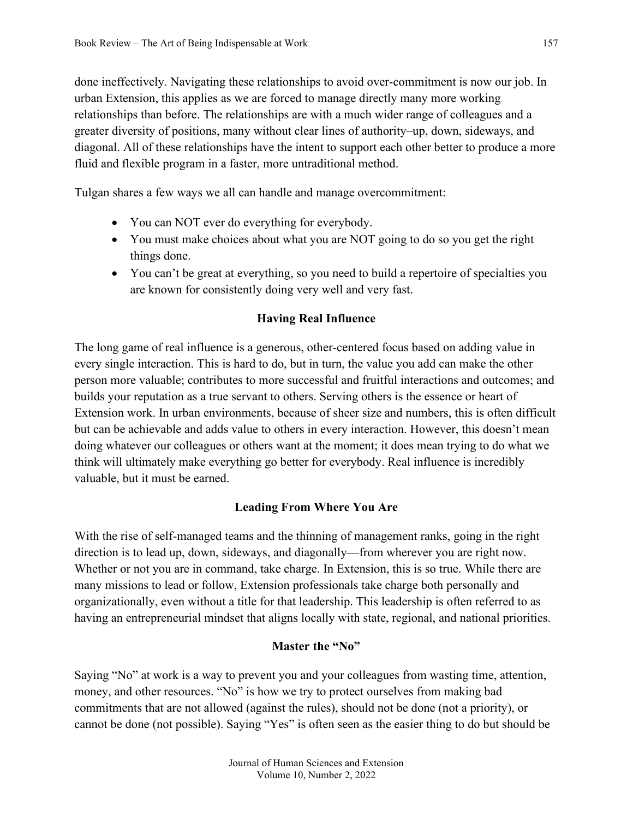done ineffectively. Navigating these relationships to avoid over-commitment is now our job. In urban Extension, this applies as we are forced to manage directly many more working relationships than before. The relationships are with a much wider range of colleagues and a greater diversity of positions, many without clear lines of authority–up, down, sideways, and diagonal. All of these relationships have the intent to support each other better to produce a more fluid and flexible program in a faster, more untraditional method.

Tulgan shares a few ways we all can handle and manage overcommitment:

- You can NOT ever do everything for everybody.
- You must make choices about what you are NOT going to do so you get the right things done.
- You can't be great at everything, so you need to build a repertoire of specialties you are known for consistently doing very well and very fast.

## **Having Real Influence**

The long game of real influence is a generous, other-centered focus based on adding value in every single interaction. This is hard to do, but in turn, the value you add can make the other person more valuable; contributes to more successful and fruitful interactions and outcomes; and builds your reputation as a true servant to others. Serving others is the essence or heart of Extension work. In urban environments, because of sheer size and numbers, this is often difficult but can be achievable and adds value to others in every interaction. However, this doesn't mean doing whatever our colleagues or others want at the moment; it does mean trying to do what we think will ultimately make everything go better for everybody. Real influence is incredibly valuable, but it must be earned.

## **Leading From Where You Are**

With the rise of self-managed teams and the thinning of management ranks, going in the right direction is to lead up, down, sideways, and diagonally—from wherever you are right now. Whether or not you are in command, take charge. In Extension, this is so true. While there are many missions to lead or follow, Extension professionals take charge both personally and organizationally, even without a title for that leadership. This leadership is often referred to as having an entrepreneurial mindset that aligns locally with state, regional, and national priorities.

## **Master the "No"**

Saying "No" at work is a way to prevent you and your colleagues from wasting time, attention, money, and other resources. "No" is how we try to protect ourselves from making bad commitments that are not allowed (against the rules), should not be done (not a priority), or cannot be done (not possible). Saying "Yes" is often seen as the easier thing to do but should be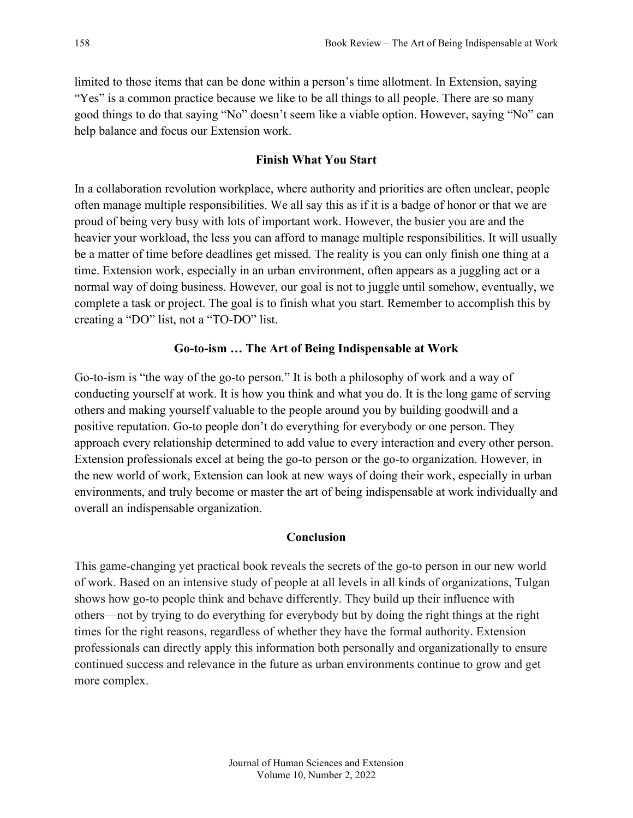limited to those items that can be done within a person's time allotment. In Extension, saying "Yes" is a common practice because we like to be all things to all people. There are so many good things to do that saying "No" doesn't seem like a viable option. However, saying "No" can help balance and focus our Extension work.

### **Finish What You Start**

In a collaboration revolution workplace, where authority and priorities are often unclear, people often manage multiple responsibilities. We all say this as if it is a badge of honor or that we are proud of being very busy with lots of important work. However, the busier you are and the heavier your workload, the less you can afford to manage multiple responsibilities. It will usually be a matter of time before deadlines get missed. The reality is you can only finish one thing at a time. Extension work, especially in an urban environment, often appears as a juggling act or a normal way of doing business. However, our goal is not to juggle until somehow, eventually, we complete a task or project. The goal is to finish what you start. Remember to accomplish this by creating a "DO" list, not a "TO-DO" list.

#### **Go-to-ism … The Art of Being Indispensable at Work**

Go-to-ism is "the way of the go-to person." It is both a philosophy of work and a way of conducting yourself at work. It is how you think and what you do. It is the long game of serving others and making yourself valuable to the people around you by building goodwill and a positive reputation. Go-to people don't do everything for everybody or one person. They approach every relationship determined to add value to every interaction and every other person. Extension professionals excel at being the go-to person or the go-to organization. However, in the new world of work, Extension can look at new ways of doing their work, especially in urban environments, and truly become or master the art of being indispensable at work individually and overall an indispensable organization.

#### **Conclusion**

This game-changing yet practical book reveals the secrets of the go-to person in our new world of work. Based on an intensive study of people at all levels in all kinds of organizations, Tulgan shows how go-to people think and behave differently. They build up their influence with others—not by trying to do everything for everybody but by doing the right things at the right times for the right reasons, regardless of whether they have the formal authority. Extension professionals can directly apply this information both personally and organizationally to ensure continued success and relevance in the future as urban environments continue to grow and get more complex.